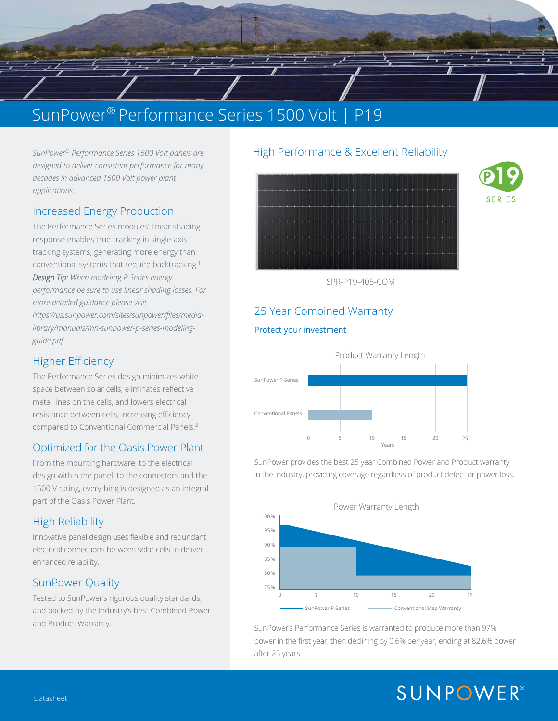# SunPower® Performance Series 1500 Volt | P19

 $\sqrt{1 - \frac{1}{2}}$ 

*SunPower® Performance Series 1500 Volt panels are designed to deliver consistent performance for many decades in advanced 1500 Volt power plant applications.* 

#### Increased Energy Production

The Performance Series modules' linear shading response enables true-tracking in single-axis *Design Tip: When modeling P-Series energy performance be sure to use linear shading losses. For more detailed guidance please visit https://us.sunpower.com/sites/sunpower/files/medialibrary/manuals/mn-sunpower-p-series-modelingguide.pdf* 

### Higher Efficiency

 metal lines on the cells, and lowers electrical The Performance Series design minimizes white space between solar cells, eliminates reflective resistance between cells, increasing efficiency compared to Conventional Commercial Panels.2

#### Optimized for the Oasis Power Plant

From the mounting hardware, to the electrical design within the panel, to the connectors and the 1500 V rating, everything is designed as an integral part of the Oasis Power Plant.

### High Reliability

Innovative panel design uses flexible and redundant electrical connections between solar cells to deliver enhanced reliability.

### SunPower Quality

Tested to SunPower's rigorous quality standards, and backed by the industry's best Combined Power and Product Warranty.

#### SunPower® Performance Series 1500 Volt panels are **High Performance & Excellent Reliability**





SPR-P19-405-COM

## 25 Year Combined Warranty

#### Protect your investment



SunPower provides the best 25 year Combined Power and Product warranty in the industry, providing coverage regardless of product defect or power loss.



SunPower's Performance Series is warranted to produce more than 97% power in the first year, then declining by 0.6% per year, ending at 82.6% power after 25 years.

# **SUNPOWER®**